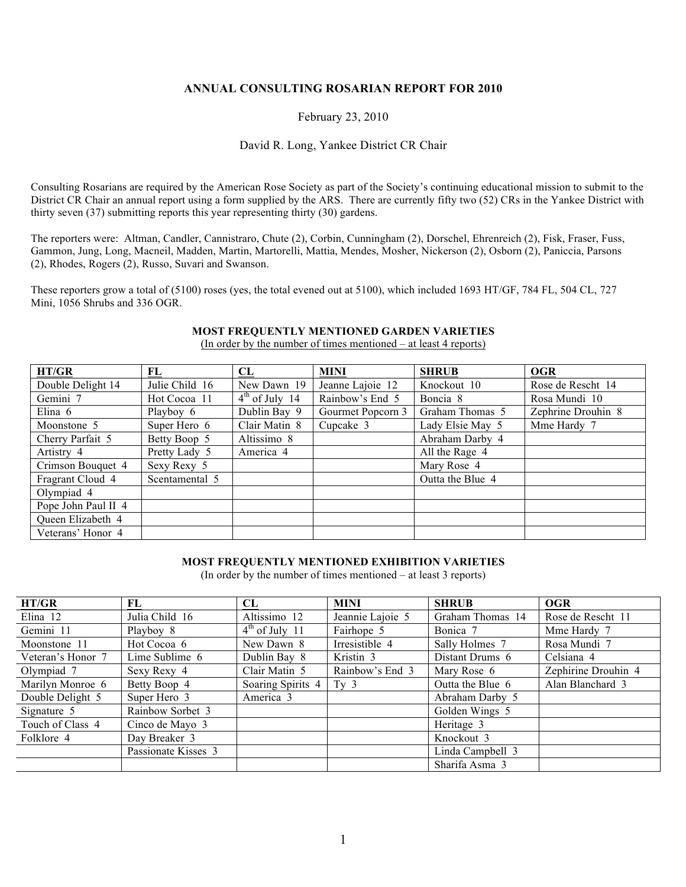### **ANNUAL CONSULTING ROSARIAN REPORT FOR 2010**

### February 23, 2010

#### David R. Long, Yankee District CR Chair

Consulting Rosarians are required by the American Rose Society as part of the Society's continuing educational mission to submit to the District CR Chair an annual report using a form supplied by the ARS. There are currently fifty two (52) CRs in the Yankee District with thirty seven (37) submitting reports this year representing thirty (30) gardens.

The reporters were: Altman, Candler, Cannistraro, Chute (2), Corbin, Cunningham (2), Dorschel, Ehrenreich (2), Fisk, Fraser, Fuss, Gammon, Jung, Long, Macneil, Madden, Martin, Martorelli, Mattia, Mendes, Mosher, Nickerson (2), Osborn (2), Paniccia, Parsons (2), Rhodes, Rogers (2), Russo, Suvari and Swanson.

These reporters grow a total of (5100) roses (yes, the total evened out at 5100), which included 1693 HT/GF, 784 FL, 504 CL, 727 Mini, 1056 Shrubs and 336 OGR.

### **MOST FREQUENTLY MENTIONED GARDEN VARIETIES**

(In order by the number of times mentioned – at least 4 reports)

| HT/GR               | FL             | CL               | <b>MINI</b>       | <b>SHRUB</b>     | <b>OGR</b>         |
|---------------------|----------------|------------------|-------------------|------------------|--------------------|
| Double Delight 14   | Julie Child 16 | New Dawn 19      | Jeanne Lajoie 12  | Knockout 10      | Rose de Rescht 14  |
| Gemini 7            | Hot Cocoa 11   | $4th$ of July 14 | Rainbow's End 5   | Boncia 8         | Rosa Mundi 10      |
| Elina $6$           | Playboy 6      | Dublin Bay 9     | Gourmet Popcorn 3 | Graham Thomas 5  | Zephrine Drouhin 8 |
| Moonstone 5         | Super Hero 6   | Clair Matin 8    | Cupcake 3         | Lady Elsie May 5 | Mme Hardy 7        |
| Cherry Parfait 5    | Betty Boop 5   | Altissimo 8      |                   | Abraham Darby 4  |                    |
| Artistry 4          | Pretty Lady 5  | America 4        |                   | All the Rage 4   |                    |
| Crimson Bouquet 4   | Sexy Rexy 5    |                  |                   | Mary Rose 4      |                    |
| Fragrant Cloud 4    | Scentamental 5 |                  |                   | Outta the Blue 4 |                    |
| Olympiad 4          |                |                  |                   |                  |                    |
| Pope John Paul II 4 |                |                  |                   |                  |                    |
| Queen Elizabeth 4   |                |                  |                   |                  |                    |
| Veterans' Honor 4   |                |                  |                   |                  |                    |

#### **MOST FREQUENTLY MENTIONED EXHIBITION VARIETIES**

(In order by the number of times mentioned – at least 3 reports)

| HT/GR             | FL                  | CL                   | <b>MINI</b>      | <b>SHRUB</b>     | <b>OGR</b>          |
|-------------------|---------------------|----------------------|------------------|------------------|---------------------|
| Elina $12$        | Julia Child 16      | Altissimo 12         | Jeannie Lajoie 5 | Graham Thomas 14 | Rose de Rescht 11   |
| Gemini 11         | Playboy 8           | $4th$ of July 11     | Fairhope 5       | Bonica 7         | Mme Hardy 7         |
| Moonstone 11      | Hot Cocoa 6         | New Dawn 8           | Irresistible 4   | Sally Holmes 7   | Rosa Mundi 7        |
| Veteran's Honor 7 | Lime Sublime 6      | Dublin Bay 8         | Kristin 3        | Distant Drums 6  | Celsiana 4          |
| Olympiad 7        | Sexy Rexy 4         | Clair Matin 5        | Rainbow's End 3  | Mary Rose 6      | Zephirine Drouhin 4 |
| Marilyn Monroe 6  | Betty Boop 4        | Soaring Spirits 4    | Tv <sub>3</sub>  | Outta the Blue 6 | Alan Blanchard 3    |
| Double Delight 5  | Super Hero 3        | America <sub>3</sub> |                  | Abraham Darby 5  |                     |
| Signature 5       | Rainbow Sorbet 3    |                      |                  | Golden Wings 5   |                     |
| Touch of Class 4  | Cinco de Mayo 3     |                      |                  | Heritage 3       |                     |
| Folklore 4        | Day Breaker 3       |                      |                  | Knockout 3       |                     |
|                   | Passionate Kisses 3 |                      |                  | Linda Campbell 3 |                     |
|                   |                     |                      |                  | Sharifa Asma 3   |                     |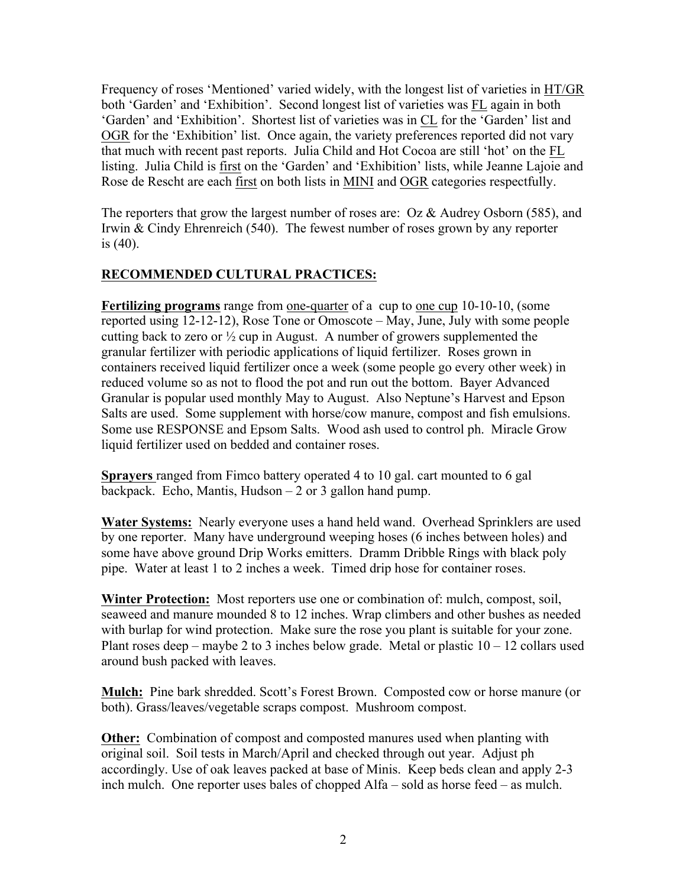Frequency of roses 'Mentioned' varied widely, with the longest list of varieties in HT/GR both 'Garden' and 'Exhibition'. Second longest list of varieties was FL again in both 'Garden' and 'Exhibition'. Shortest list of varieties was in CL for the 'Garden' list and OGR for the 'Exhibition' list. Once again, the variety preferences reported did not vary that much with recent past reports. Julia Child and Hot Cocoa are still 'hot' on the FL listing. Julia Child is first on the 'Garden' and 'Exhibition' lists, while Jeanne Lajoie and Rose de Rescht are each first on both lists in MINI and OGR categories respectfully.

The reporters that grow the largest number of roses are: Oz & Audrey Osborn (585), and Irwin & Cindy Ehrenreich (540). The fewest number of roses grown by any reporter is (40).

# **RECOMMENDED CULTURAL PRACTICES:**

**Fertilizing programs** range from one-quarter of a cup to one cup 10-10-10, (some reported using 12-12-12), Rose Tone or Omoscote – May, June, July with some people cutting back to zero or  $\frac{1}{2}$  cup in August. A number of growers supplemented the granular fertilizer with periodic applications of liquid fertilizer. Roses grown in containers received liquid fertilizer once a week (some people go every other week) in reduced volume so as not to flood the pot and run out the bottom. Bayer Advanced Granular is popular used monthly May to August. Also Neptune's Harvest and Epson Salts are used. Some supplement with horse/cow manure, compost and fish emulsions. Some use RESPONSE and Epsom Salts. Wood ash used to control ph. Miracle Grow liquid fertilizer used on bedded and container roses.

**Sprayers** ranged from Fimco battery operated 4 to 10 gal. cart mounted to 6 gal backpack. Echo, Mantis, Hudson  $-2$  or 3 gallon hand pump.

**Water Systems:** Nearly everyone uses a hand held wand. Overhead Sprinklers are used by one reporter. Many have underground weeping hoses (6 inches between holes) and some have above ground Drip Works emitters. Dramm Dribble Rings with black poly pipe. Water at least 1 to 2 inches a week. Timed drip hose for container roses.

**Winter Protection:** Most reporters use one or combination of: mulch, compost, soil, seaweed and manure mounded 8 to 12 inches. Wrap climbers and other bushes as needed with burlap for wind protection. Make sure the rose you plant is suitable for your zone. Plant roses deep – maybe 2 to 3 inches below grade. Metal or plastic  $10 - 12$  collars used around bush packed with leaves.

**Mulch:** Pine bark shredded. Scott's Forest Brown. Composted cow or horse manure (or both). Grass/leaves/vegetable scraps compost. Mushroom compost.

**Other:** Combination of compost and composted manures used when planting with original soil. Soil tests in March/April and checked through out year. Adjust ph accordingly. Use of oak leaves packed at base of Minis. Keep beds clean and apply 2-3 inch mulch. One reporter uses bales of chopped Alfa – sold as horse feed – as mulch.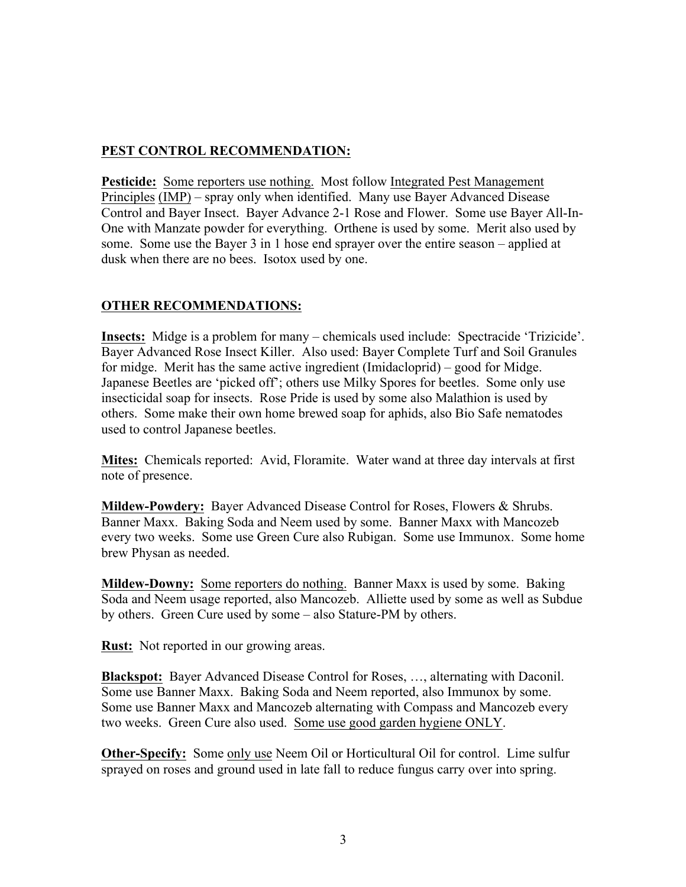# **PEST CONTROL RECOMMENDATION:**

**Pesticide:** Some reporters use nothing. Most follow Integrated Pest Management Principles (IMP) – spray only when identified. Many use Bayer Advanced Disease Control and Bayer Insect. Bayer Advance 2-1 Rose and Flower. Some use Bayer All-In-One with Manzate powder for everything. Orthene is used by some. Merit also used by some. Some use the Bayer 3 in 1 hose end sprayer over the entire season – applied at dusk when there are no bees. Isotox used by one.

# **OTHER RECOMMENDATIONS:**

**Insects:** Midge is a problem for many – chemicals used include: Spectracide 'Trizicide'. Bayer Advanced Rose Insect Killer. Also used: Bayer Complete Turf and Soil Granules for midge. Merit has the same active ingredient (Imidacloprid) – good for Midge. Japanese Beetles are 'picked off'; others use Milky Spores for beetles. Some only use insecticidal soap for insects. Rose Pride is used by some also Malathion is used by others. Some make their own home brewed soap for aphids, also Bio Safe nematodes used to control Japanese beetles.

**Mites:** Chemicals reported: Avid, Floramite. Water wand at three day intervals at first note of presence.

**Mildew-Powdery:** Bayer Advanced Disease Control for Roses, Flowers & Shrubs. Banner Maxx. Baking Soda and Neem used by some. Banner Maxx with Mancozeb every two weeks. Some use Green Cure also Rubigan. Some use Immunox. Some home brew Physan as needed.

**Mildew-Downy:** Some reporters do nothing. Banner Maxx is used by some. Baking Soda and Neem usage reported, also Mancozeb. Alliette used by some as well as Subdue by others. Green Cure used by some – also Stature-PM by others.

**Rust:** Not reported in our growing areas.

**Blackspot:** Bayer Advanced Disease Control for Roses, …, alternating with Daconil. Some use Banner Maxx. Baking Soda and Neem reported, also Immunox by some. Some use Banner Maxx and Mancozeb alternating with Compass and Mancozeb every two weeks. Green Cure also used. Some use good garden hygiene ONLY.

**Other-Specify:** Some only use Neem Oil or Horticultural Oil for control. Lime sulfur sprayed on roses and ground used in late fall to reduce fungus carry over into spring.